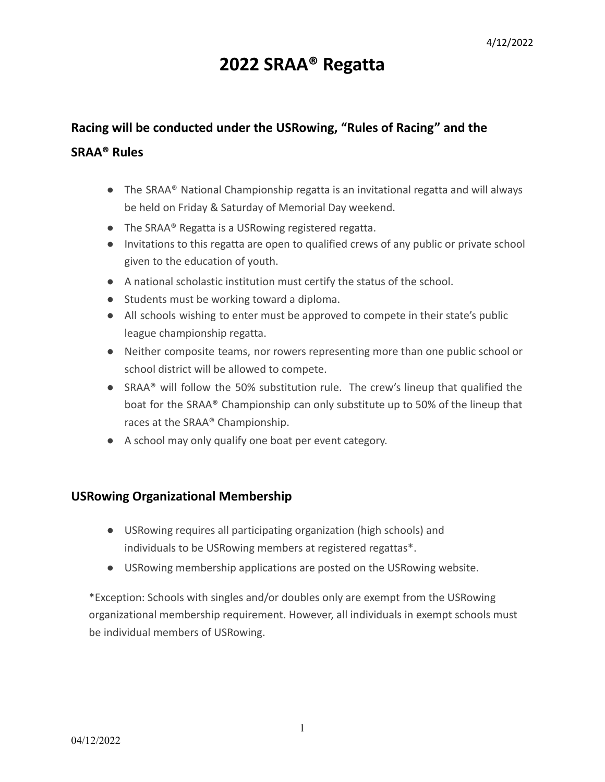# **2022 SRAA® Regatta**

# **Racing will be conducted under the USRowing, "Rules of Racing" and the**

#### **SRAA® Rules**

- The SRAA® National Championship regatta is an invitational regatta and will always be held on Friday & Saturday of Memorial Day weekend.
- The SRAA® Regatta is a USRowing registered regatta.
- Invitations to this regatta are open to qualified crews of any public or private school given to the education of youth.
- A national scholastic institution must certify the status of the school.
- Students must be working toward a diploma.
- All schools wishing to enter must be approved to compete in their state's public league championship regatta.
- Neither composite teams, nor rowers representing more than one public school or school district will be allowed to compete.
- SRAA® will follow the 50% substitution rule. The crew's lineup that qualified the boat for the SRAA® Championship can only substitute up to 50% of the lineup that races at the SRAA® Championship.
- A school may only qualify one boat per event category.

## **USRowing Organizational Membership**

- USRowing requires all participating organization (high schools) and individuals to be USRowing members at registered regattas\*.
- USRowing membership applications are posted on the USRowing website.

\*Exception: Schools with singles and/or doubles only are exempt from the USRowing organizational membership requirement. However, all individuals in exempt schools must be individual members of USRowing.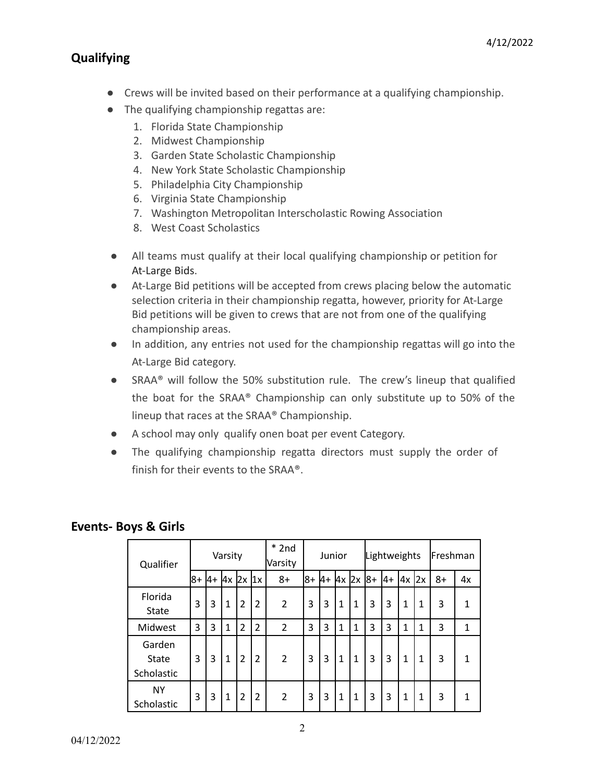# **Qualifying**

- Crews will be invited based on their performance at a qualifying championship.
- The qualifying championship regattas are:
	- 1. Florida State Championship
	- 2. Midwest Championship
	- 3. Garden State Scholastic Championship
	- 4. New York State Scholastic Championship
	- 5. Philadelphia City Championship
	- 6. Virginia State Championship
	- 7. Washington Metropolitan Interscholastic Rowing Association
	- 8. West Coast Scholastics
- All teams must qualify at their local qualifying championship or petition for At-Large Bids.
- At-Large Bid petitions will be accepted from crews placing below the automatic selection criteria in their championship regatta, however, priority for At-Large Bid petitions will be given to crews that are not from one of the qualifying championship areas.
- In addition, any entries not used for the championship regattas will go into the At-Large Bid category.
- SRAA® will follow the 50% substitution rule. The crew's lineup that qualified the boat for the SRAA® Championship can only substitute up to 50% of the lineup that races at the SRAA® Championship.
- A school may only qualify onen boat per event Category.
- The qualifying championship regatta directors must supply the order of finish for their events to the SRAA®.

| Qualifier                     | Varsity |       |              |                |                | $*$ 2nd<br>Varsity | Junior |           |              | Lightweights |       |      |       | Freshman     |      |              |
|-------------------------------|---------|-------|--------------|----------------|----------------|--------------------|--------|-----------|--------------|--------------|-------|------|-------|--------------|------|--------------|
|                               | 8+      | $ 4+$ |              | $4x$ 2x $1x$   |                | $8+$               | 8+     | <b>A+</b> | $4x$ 2x      |              | $ 8+$ | $4+$ | 4x 2x |              | $8+$ | 4x           |
| Florida<br><b>State</b>       | 3       | 3     | 1            | $\overline{2}$ | $\overline{2}$ | 2                  | 3      | 3         | $\mathbf{1}$ | 1            | 3     | 3    | 1     | 1            | 3    | $\mathbf{1}$ |
| Midwest                       | 3       | 3     | $\mathbf{1}$ | $\overline{2}$ | $\overline{2}$ | 2                  | 3      | 3         | 1            | $\mathbf{1}$ | 3     | 3    | 1     | 1            | 3    | 1            |
| Garden<br>State<br>Scholastic | 3       | 3     | $\mathbf{1}$ | $\overline{2}$ | $\overline{2}$ | $\overline{2}$     | 3      | 3         | $\mathbf{1}$ | 1            | 3     | 3    | 1     | $\mathbf{1}$ | 3    | 1            |
| <b>NY</b><br>Scholastic       | 3       | 3     | $\mathbf{1}$ | $\overline{2}$ | $\overline{2}$ | $\overline{2}$     | 3      | 3         | $\mathbf{1}$ | 1            | 3     | 3    | 1     | 1            | 3    | 1            |

# **Events- Boys & Girls**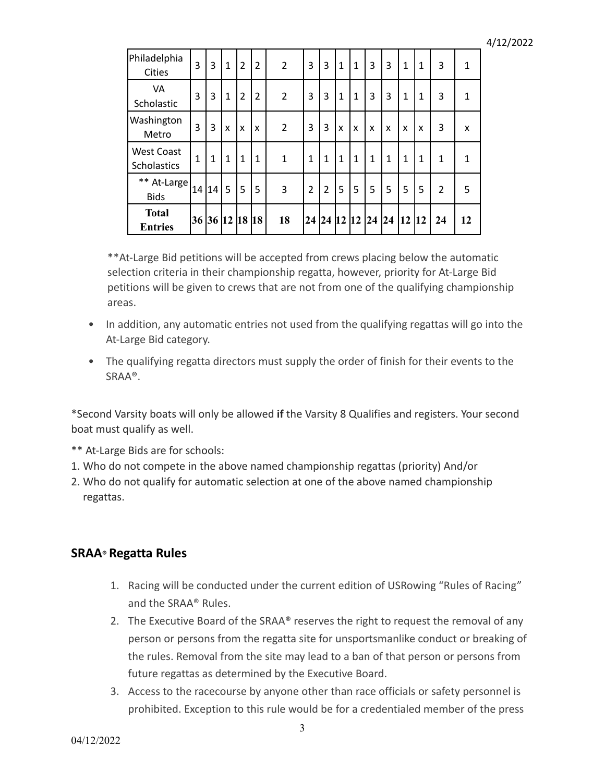| Philadelphia<br>Cities           | 3  | 3        | $\mathbf{1}$ | $\overline{2}$ | $\overline{2}$ | $\overline{2}$ | 3              | 3              | $\mathbf{1}$ | $\mathbf{1}$              | 3            | 3            | $\mathbf{1}$ | $\mathbf{1}$ | 3              | $\mathbf{1}$ |
|----------------------------------|----|----------|--------------|----------------|----------------|----------------|----------------|----------------|--------------|---------------------------|--------------|--------------|--------------|--------------|----------------|--------------|
| VA<br>Scholastic                 | 3  | 3        | $\mathbf{1}$ | $\overline{2}$ | $\overline{2}$ | $\overline{2}$ | 3              | 3              | $\mathbf{1}$ | $\mathbf{1}$              | 3            | 3            | $\mathbf 1$  | 1            | 3              | $\mathbf{1}$ |
| Washington<br>Metro              | 3  | 3        | X            | X              | X              | $\overline{2}$ | 3              | 3              | X            | $\boldsymbol{\mathsf{x}}$ | X            | x            | x            | X            | 3              | X            |
| <b>West Coast</b><br>Scholastics | 1  | 1        | $\mathbf{1}$ | $\mathbf{1}$   | $\mathbf{1}$   | 1              | $\mathbf{1}$   | $\mathbf{1}$   | $\mathbf{1}$ | $\mathbf{1}$              | $\mathbf{1}$ | $\mathbf{1}$ | $\mathbf 1$  | $\mathbf{1}$ | $\mathbf{1}$   | $\mathbf{1}$ |
| ** At-Large!<br><b>Bids</b>      | 14 | 14       | 5            | 5              | 5              | 3              | $\overline{2}$ | $\overline{2}$ | 5            | 5                         | 5            | 5            | 5            | 5            | $\overline{2}$ | 5            |
| <b>Total</b><br><b>Entries</b>   | 36 | 36 12 18 |              |                | 18             | 18             | 24             | 24             |              | $12$ $12$ $24$            |              | 24           | <b>12</b>    | 12           | 24             | 12           |

\*\*At-Large Bid petitions will be accepted from crews placing below the automatic selection criteria in their championship regatta, however, priority for At-Large Bid petitions will be given to crews that are not from one of the qualifying championship areas.

- In addition, any automatic entries not used from the qualifying regattas will go into the At-Large Bid category.
- The qualifying regatta directors must supply the order of finish for their events to the SRAA®.

\*Second Varsity boats will only be allowed **if** the Varsity 8 Qualifies and registers. Your second boat must qualify as well.

- \*\* At-Large Bids are for schools:
- 1. Who do not compete in the above named championship regattas (priority) And/or
- 2. Who do not qualify for automatic selection at one of the above named championship regattas.

# **SRAA® Regatta Rules**

- 1. Racing will be conducted under the current edition of USRowing "Rules of Racing" and the SRAA® Rules.
- 2. The Executive Board of the SRAA® reserves the right to request the removal of any person or persons from the regatta site for unsportsmanlike conduct or breaking of the rules. Removal from the site may lead to a ban of that person or persons from future regattas as determined by the Executive Board.
- 3. Access to the racecourse by anyone other than race officials or safety personnel is prohibited. Exception to this rule would be for a credentialed member of the press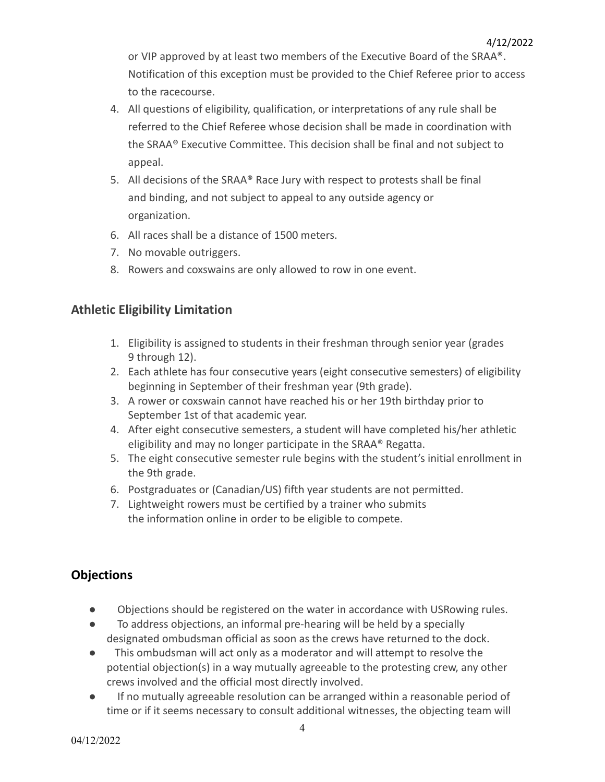or VIP approved by at least two members of the Executive Board of the SRAA®. Notification of this exception must be provided to the Chief Referee prior to access to the racecourse.

- 4. All questions of eligibility, qualification, or interpretations of any rule shall be referred to the Chief Referee whose decision shall be made in coordination with the SRAA® Executive Committee. This decision shall be final and not subject to appeal.
- 5. All decisions of the SRAA® Race Jury with respect to protests shall be final and binding, and not subject to appeal to any outside agency or organization.
- 6. All races shall be a distance of 1500 meters.
- 7. No movable outriggers.
- 8. Rowers and coxswains are only allowed to row in one event.

## **Athletic Eligibility Limitation**

- 1. Eligibility is assigned to students in their freshman through senior year (grades 9 through 12).
- 2. Each athlete has four consecutive years (eight consecutive semesters) of eligibility beginning in September of their freshman year (9th grade).
- 3. A rower or coxswain cannot have reached his or her 19th birthday prior to September 1st of that academic year.
- 4. After eight consecutive semesters, a student will have completed his/her athletic eligibility and may no longer participate in the SRAA® Regatta.
- 5. The eight consecutive semester rule begins with the student's initial enrollment in the 9th grade.
- 6. Postgraduates or (Canadian/US) fifth year students are not permitted.
- 7. Lightweight rowers must be certified by a trainer who submits the information online in order to be eligible to compete.

# **Objections**

- Objections should be registered on the water in accordance with USRowing rules.
- To address objections, an informal pre-hearing will be held by a specially designated ombudsman official as soon as the crews have returned to the dock.
- This ombudsman will act only as a moderator and will attempt to resolve the potential objection(s) in a way mutually agreeable to the protesting crew, any other crews involved and the official most directly involved.
- If no mutually agreeable resolution can be arranged within a reasonable period of time or if it seems necessary to consult additional witnesses, the objecting team will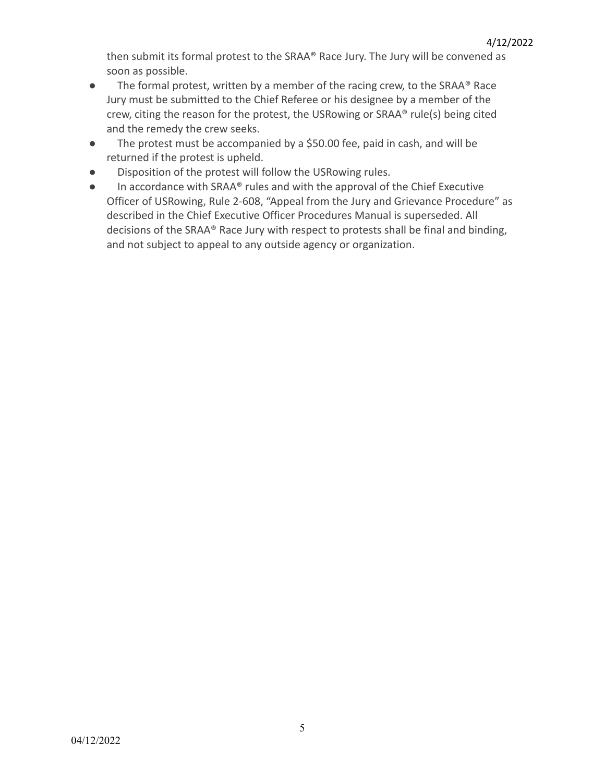then submit its formal protest to the SRAA® Race Jury. The Jury will be convened as soon as possible.

- The formal protest, written by a member of the racing crew, to the SRAA® Race Jury must be submitted to the Chief Referee or his designee by a member of the crew, citing the reason for the protest, the USRowing or SRAA® rule(s) being cited and the remedy the crew seeks.
- The protest must be accompanied by a \$50.00 fee, paid in cash, and will be returned if the protest is upheld.
- Disposition of the protest will follow the USRowing rules.
- In accordance with SRAA® rules and with the approval of the Chief Executive Officer of USRowing, Rule 2-608, "Appeal from the Jury and Grievance Procedure" as described in the Chief Executive Officer Procedures Manual is superseded. All decisions of the SRAA® Race Jury with respect to protests shall be final and binding, and not subject to appeal to any outside agency or organization.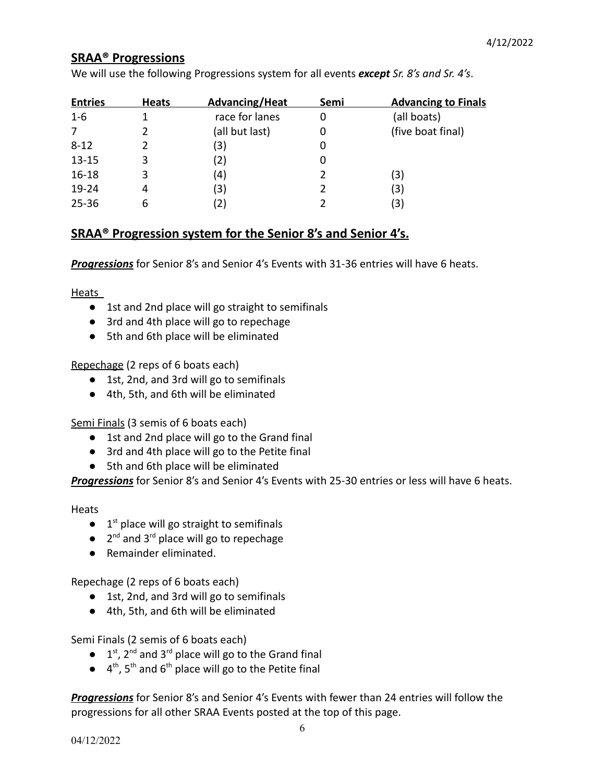#### **SRAA® Progressions**

We will use the following Progressions system for all events *except Sr. 8's and Sr. 4's*.

| <b>Entries</b> | <b>Heats</b> | Advancing/Heat | Semi | <b>Advancing to Finals</b> |
|----------------|--------------|----------------|------|----------------------------|
| $1 - 6$        |              | race for lanes |      | (all boats)                |
| $\overline{7}$ |              | (all but last) |      | (five boat final)          |
| $8 - 12$       |              | (3)            |      |                            |
| $13 - 15$      | 3            | (2)            |      |                            |
| $16 - 18$      | 3            | (4)            |      | (3)                        |
| 19-24          | 4            | (3)            |      | (3)                        |
| $25 - 36$      | 6            | (2)            |      | (3)                        |
|                |              |                |      |                            |

#### **SRAA® Progression system for the Senior 8's and Senior 4's.**

*Progressions* for Senior 8's and Senior 4's Events with 31-36 entries will have 6 heats.

Heats

- 1st and 2nd place will go straight to semifinals
- 3rd and 4th place will go to repechage
- 5th and 6th place will be eliminated

Repechage (2 reps of 6 boats each)

- 1st, 2nd, and 3rd will go to semifinals
- 4th, 5th, and 6th will be eliminated

Semi Finals (3 semis of 6 boats each)

- 1st and 2nd place will go to the Grand final
- 3rd and 4th place will go to the Petite final
- 5th and 6th place will be eliminated

*Progressions* for Senior 8's and Senior 4's Events with 25-30 entries or less will have 6 heats.

**Heats** 

- $\bullet$  1<sup>st</sup> place will go straight to semifinals
- $\bullet$  2<sup>nd</sup> and 3<sup>rd</sup> place will go to repechage
- Remainder eliminated.

Repechage (2 reps of 6 boats each)

- 1st, 2nd, and 3rd will go to semifinals
- 4th, 5th, and 6th will be eliminated

Semi Finals (2 semis of 6 boats each)

- $\bullet$  1<sup>st</sup>, 2<sup>nd</sup> and 3<sup>rd</sup> place will go to the Grand final
- $\bullet$  4<sup>th</sup>, 5<sup>th</sup> and 6<sup>th</sup> place will go to the Petite final

*Progressions* for Senior 8's and Senior 4's Events with fewer than 24 entries will follow the progressions for all other SRAA Events posted at the top of this page.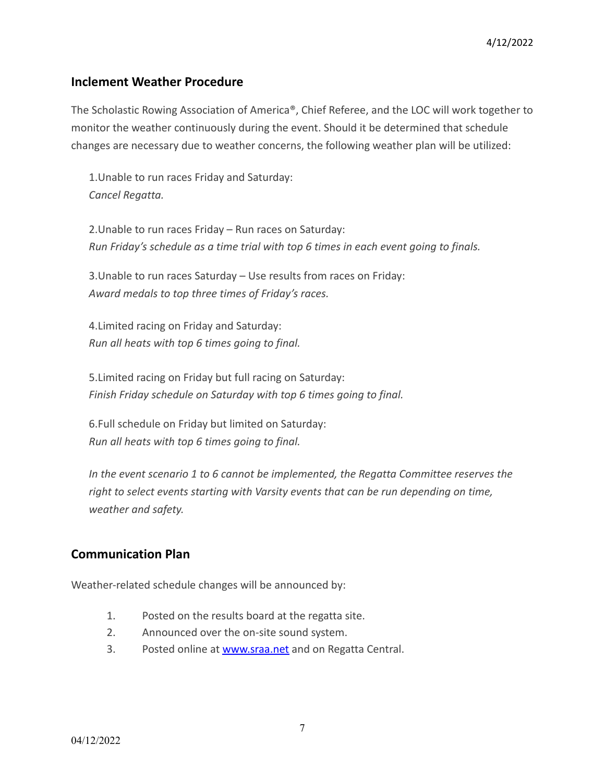#### **Inclement Weather Procedure**

The Scholastic Rowing Association of America®, Chief Referee, and the LOC will work together to monitor the weather continuously during the event. Should it be determined that schedule changes are necessary due to weather concerns, the following weather plan will be utilized:

1.Unable to run races Friday and Saturday: *Cancel Regatta.*

2.Unable to run races Friday – Run races on Saturday: *Run Friday's schedule as a time trial with top 6 times in each event going to finals.*

3.Unable to run races Saturday – Use results from races on Friday: *Award medals to top three times of Friday's races.*

4.Limited racing on Friday and Saturday: *Run all heats with top 6 times going to final.*

5.Limited racing on Friday but full racing on Saturday: *Finish Friday schedule on Saturday with top 6 times going to final.*

6.Full schedule on Friday but limited on Saturday: *Run all heats with top 6 times going to final.*

*In the event scenario 1 to 6 cannot be implemented, the Regatta Committee reserves the right to select events starting with Varsity events that can be run depending on time, weather and safety.*

## **Communication Plan**

Weather-related schedule changes will be announced by:

- 1. Posted on the results board at the regatta site.
- 2. Announced over the on-site sound system.
- 3. Posted online at **[www.sraa.net](http://www.sraa.net)** and on Regatta Central.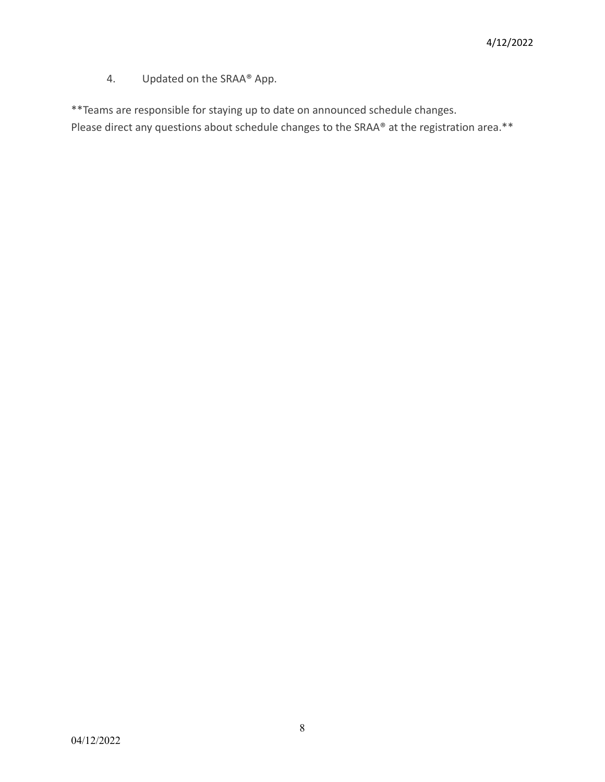4. Updated on the SRAA® App.

\*\*Teams are responsible for staying up to date on announced schedule changes.

Please direct any questions about schedule changes to the SRAA® at the registration area.\*\*